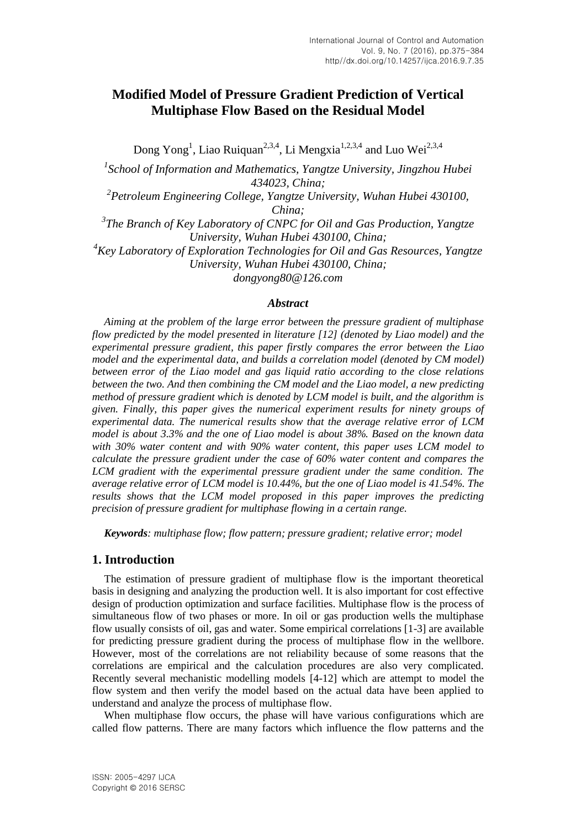# **Modified Model of Pressure Gradient Prediction of Vertical Multiphase Flow Based on the Residual Model**

Dong Yong<sup>1</sup>, Liao Ruiquan<sup>2,3,4</sup>, Li Mengxia<sup>1,2,3,4</sup> and Luo Wei<sup>2,3,4</sup> <sup>1</sup> School of Information and Mathematics, Yangtze University, Jingzhou Hubei *434023, China; 2 Petroleum Engineering College, Yangtze University, Wuhan Hubei 430100, China; 3 The Branch of Key Laboratory of CNPC for Oil and Gas Production, Yangtze University, Wuhan Hubei 430100, China; <sup>4</sup>Key Laboratory of Exploration Technologies for Oil and Gas Resources, Yangtze University, Wuhan Hubei 430100, China;*

*dongyong80@126.com*

#### *Abstract*

*Aiming at the problem of the large error between the pressure gradient of multiphase flow predicted by the model presented in literature [12] (denoted by Liao model) and the experimental pressure gradient, this paper firstly compares the error between the Liao model and the experimental data, and builds a correlation model (denoted by CM model) between error of the Liao model and gas liquid ratio according to the close relations between the two. And then combining the CM model and the Liao model, a new predicting method of pressure gradient which is denoted by LCM model is built, and the algorithm is given. Finally, this paper gives the numerical experiment results for ninety groups of experimental data. The numerical results show that the average relative error of LCM model is about 3.3% and the one of Liao model is about 38%. Based on the known data with 30% water content and with 90% water content, this paper uses LCM model to calculate the pressure gradient under the case of 60% water content and compares the LCM gradient with the experimental pressure gradient under the same condition. The average relative error of LCM model is 10.44%, but the one of Liao model is 41.54%. The results shows that the LCM model proposed in this paper improves the predicting precision of pressure gradient for multiphase flowing in a certain range.*

*Keywords: multiphase flow; flow pattern; pressure gradient; relative error; model*

#### **1. Introduction**

The estimation of pressure gradient of multiphase flow is the important theoretical basis in designing and analyzing the production well. It is also important for cost effective design of production optimization and surface facilities. Multiphase flow is the process of simultaneous flow of two phases or more. In oil or gas production wells the multiphase flow usually consists of oil, gas and water. Some empirical correlations [1-3] are available for predicting pressure gradient during the process of multiphase flow in the wellbore. However, most of the correlations are not reliability because of some reasons that the correlations are empirical and the calculation procedures are also very complicated. Recently several mechanistic modelling models [4-12] which are attempt to model the flow system and then verify the model based on the actual data have been applied to understand and analyze the process of multiphase flow.

When multiphase flow occurs, the phase will have various configurations which are called flow patterns. There are many factors which influence the flow patterns and the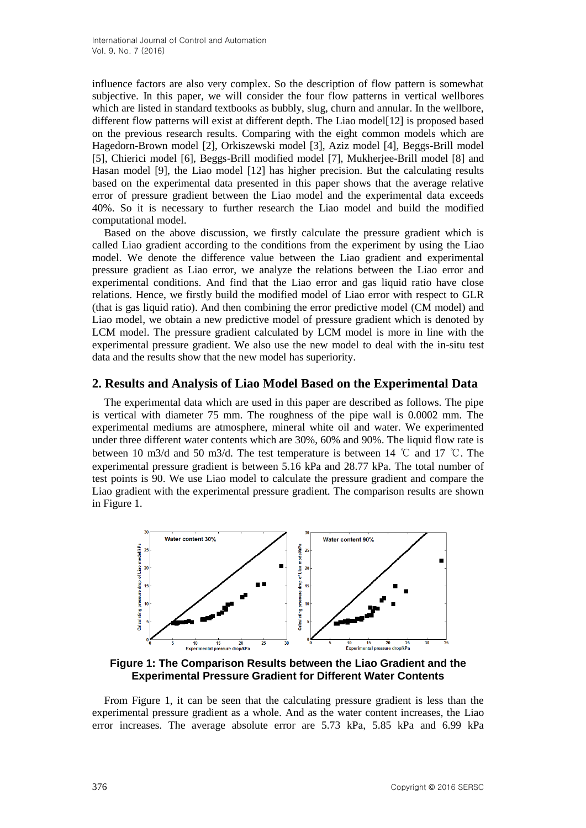influence factors are also very complex. So the description of flow pattern is somewhat subjective. In this paper, we will consider the four flow patterns in vertical wellbores which are listed in standard textbooks as bubbly, slug, churn and annular. In the wellbore, different flow patterns will exist at different depth. The Liao model[12] is proposed based on the previous research results. Comparing with the eight common models which are Hagedorn-Brown model [2], Orkiszewski model [3], Aziz model [4], Beggs-Brill model [5], Chierici model [6], Beggs-Brill modified model [7], Mukherjee-Brill model [8] and Hasan model [9], the Liao model [12] has higher precision. But the calculating results based on the experimental data presented in this paper shows that the average relative error of pressure gradient between the Liao model and the experimental data exceeds 40%. So it is necessary to further research the Liao model and build the modified computational model.

Based on the above discussion, we firstly calculate the pressure gradient which is called Liao gradient according to the conditions from the experiment by using the Liao model. We denote the difference value between the Liao gradient and experimental pressure gradient as Liao error, we analyze the relations between the Liao error and experimental conditions. And find that the Liao error and gas liquid ratio have close relations. Hence, we firstly build the modified model of Liao error with respect to GLR (that is gas liquid ratio). And then combining the error predictive model (CM model) and Liao model, we obtain a new predictive model of pressure gradient which is denoted by LCM model. The pressure gradient calculated by LCM model is more in line with the experimental pressure gradient. We also use the new model to deal with the in-situ test data and the results show that the new model has superiority.

### **2. Results and Analysis of Liao Model Based on the Experimental Data**

The experimental data which are used in this paper are described as follows. The pipe is vertical with diameter 75 mm. The roughness of the pipe wall is 0.0002 mm. The experimental mediums are atmosphere, mineral white oil and water. We experimented under three different water contents which are 30%, 60% and 90%. The liquid flow rate is between 10 m3/d and 50 m3/d. The test temperature is between 14 ℃ and 17 ℃. The experimental pressure gradient is between 5.16 kPa and 28.77 kPa. The total number of test points is 90. We use Liao model to calculate the pressure gradient and compare the Liao gradient with the experimental pressure gradient. The comparison results are shown in Figure 1.



**Figure 1: The Comparison Results between the Liao Gradient and the Experimental Pressure Gradient for Different Water Contents**

From Figure 1, it can be seen that the calculating pressure gradient is less than the experimental pressure gradient as a whole. And as the water content increases, the Liao error increases. The average absolute error are 5.73 kPa, 5.85 kPa and 6.99 kPa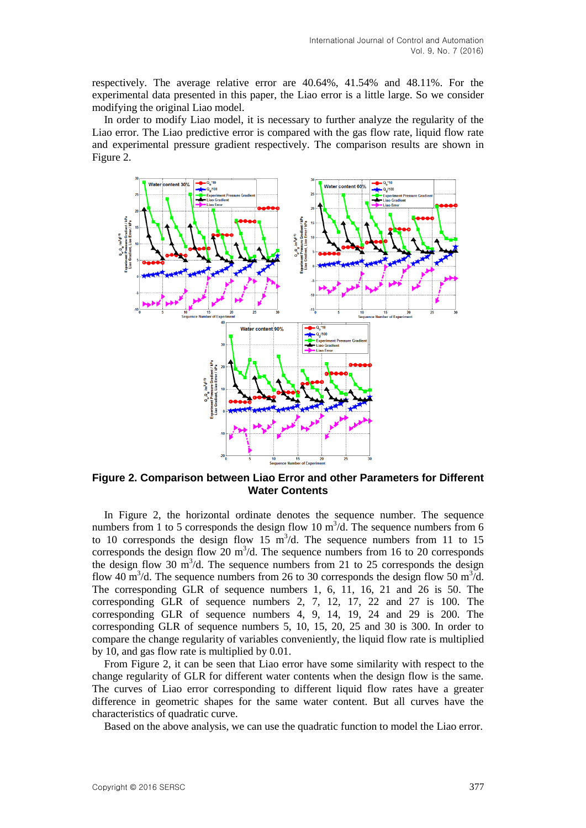respectively. The average relative error are 40.64%, 41.54% and 48.11%. For the experimental data presented in this paper, the Liao error is a little large. So we consider modifying the original Liao model.

In order to modify Liao model, it is necessary to further analyze the regularity of the Liao error. The Liao predictive error is compared with the gas flow rate, liquid flow rate and experimental pressure gradient respectively. The comparison results are shown in Figure 2.



**Figure 2. Comparison between Liao Error and other Parameters for Different Water Contents**

In Figure 2, the horizontal ordinate denotes the sequence number. The sequence numbers from 1 to 5 corresponds the design flow 10  $m^3/d$ . The sequence numbers from 6 to 10 corresponds the design flow 15  $\text{m}^3/\text{d}$ . The sequence numbers from 11 to 15 corresponds the design flow  $20 \text{ m}^3$ /d. The sequence numbers from 16 to 20 corresponds the design flow 30  $\text{m}^3$ /d. The sequence numbers from 21 to 25 corresponds the design flow 40 m<sup>3</sup>/d. The sequence numbers from 26 to 30 corresponds the design flow 50 m<sup>3</sup>/d. The corresponding GLR of sequence numbers 1, 6, 11, 16, 21 and 26 is 50. The corresponding GLR of sequence numbers 2, 7, 12, 17, 22 and 27 is 100. The corresponding GLR of sequence numbers 4, 9, 14, 19, 24 and 29 is 200. The corresponding GLR of sequence numbers 5, 10, 15, 20, 25 and 30 is 300. In order to compare the change regularity of variables conveniently, the liquid flow rate is multiplied by 10, and gas flow rate is multiplied by 0.01.

From Figure 2, it can be seen that Liao error have some similarity with respect to the change regularity of GLR for different water contents when the design flow is the same. The curves of Liao error corresponding to different liquid flow rates have a greater difference in geometric shapes for the same water content. But all curves have the characteristics of quadratic curve.

Based on the above analysis, we can use the quadratic function to model the Liao error.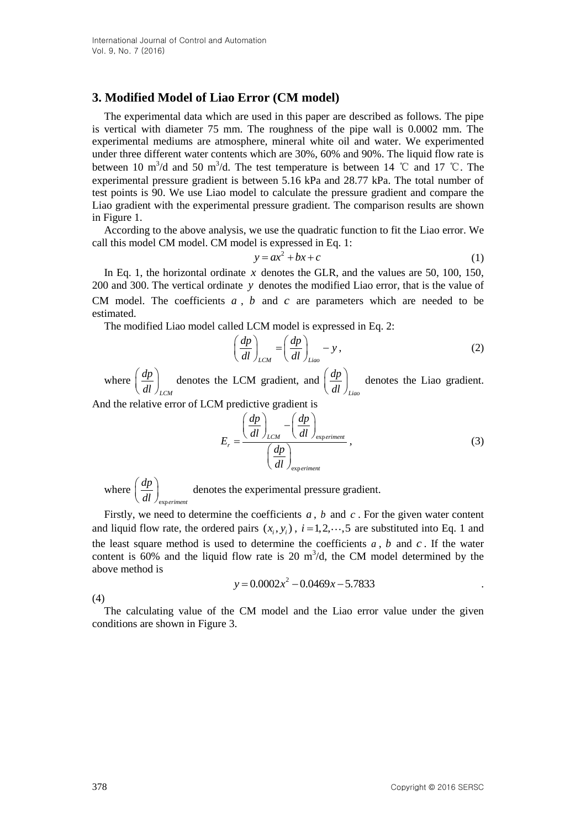### **3. Modified Model of Liao Error (CM model)**

The experimental data which are used in this paper are described as follows. The pipe is vertical with diameter 75 mm. The roughness of the pipe wall is 0.0002 mm. The experimental mediums are atmosphere, mineral white oil and water. We experimented under three different water contents which are 30%, 60% and 90%. The liquid flow rate is between 10 m<sup>3</sup>/d and 50 m<sup>3</sup>/d. The test temperature is between 14 °C and 17 °C. The experimental pressure gradient is between 5.16 kPa and 28.77 kPa. The total number of test points is 90. We use Liao model to calculate the pressure gradient and compare the Liao gradient with the experimental pressure gradient. The comparison results are shown in Figure 1.

According to the above analysis, we use the quadratic function to fit the Liao error. We call this model CM model. CM model is expressed in Eq. 1:

$$
y = ax^2 + bx + c \tag{1}
$$

In Eq. 1, the horizontal ordinate  $x$  denotes the GLR, and the values are 50, 100, 150, 200 and 300. The vertical ordinate *y* denotes the modified Liao error, that is the value of CM model. The coefficients  $a$ ,  $b$  and  $c$  are parameters which are needed to be estimated.

The modified Liao model called LCM model is expressed in Eq. 2:

$$
\left(\frac{dp}{dl}\right)_{LCM} = \left(\frac{dp}{dl}\right)_{Liao} - y\,,\tag{2}
$$

where *LCM dp*  $\left(\frac{dp}{dl}\right)_{LCM}$  denotes the LCM gradient, and *Liao dp*  $\left(\frac{dp}{dl}\right)_{Liao}$  denotes the Liao gradient.

And the relative error of LCM predictive gradient is<br>  $\begin{pmatrix} dp \end{pmatrix} \begin{pmatrix} dp \end{pmatrix}$ 

$$
E_r = \frac{\left(\frac{dp}{dl}\right)_{LCM} - \left(\frac{dp}{dl}\right)_{\text{experiment}}}{\left(\frac{dp}{dl}\right)_{\text{experiment}}},
$$
\n(3)

where exp*eriment dp*  $\left(\frac{dp}{dl}\right)_{\text{experiment}}$  denotes the experimental pressure gradient.

Firstly, we need to determine the coefficients  $a$ ,  $b$  and  $c$ . For the given water content and liquid flow rate, the ordered pairs  $(x_i, y_i)$ ,  $i = 1, 2, \dots, 5$  are substituted into Eq. 1 and the least square method is used to determine the coefficients  $a$ ,  $b$  and  $c$ . If the water content is  $60\%$  and the liquid flow rate is 20 m<sup>3</sup>/d, the CM model determined by the above method is  $y = 0.0002x^2 - 0.0469x - 5.7833$ 

$$
y = 0.0002x^2 - 0.0469x - 5.7833
$$

(4)

The calculating value of the CM model and the Liao error value under the given conditions are shown in Figure 3.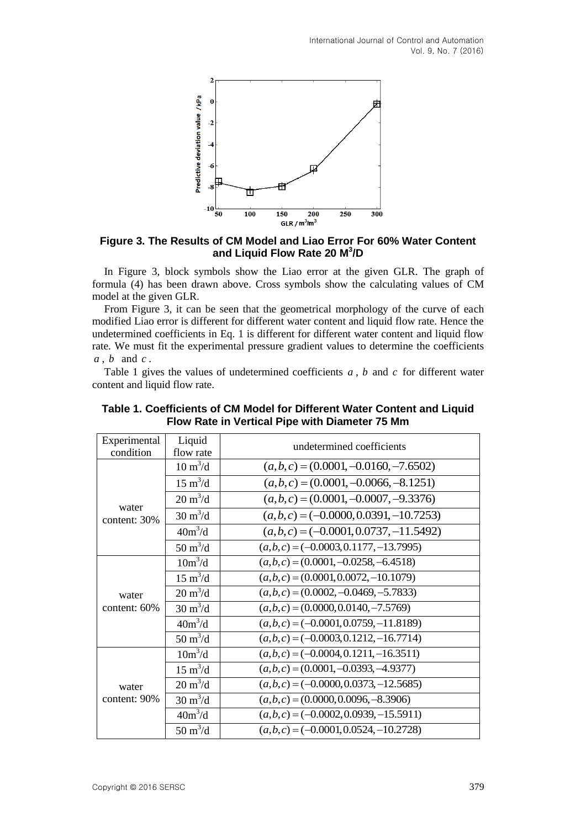

**Figure 3. The Results of CM Model and Liao Error For 60% Water Content and Liquid Flow Rate 20 M<sup>3</sup> /D**

In Figure 3, block symbols show the Liao error at the given GLR. The graph of formula (4) has been drawn above. Cross symbols show the calculating values of CM model at the given GLR.

From Figure 3, it can be seen that the geometrical morphology of the curve of each modified Liao error is different for different water content and liquid flow rate. Hence the undetermined coefficients in Eq. 1 is different for different water content and liquid flow rate. We must fit the experimental pressure gradient values to determine the coefficients *a* , *b* and *c* .

Table 1 gives the values of undetermined coefficients  $a$ ,  $b$  and  $c$  for different water content and liquid flow rate.

| Experimental          | Liquid                    | undetermined coefficients                 |  |  |  |
|-----------------------|---------------------------|-------------------------------------------|--|--|--|
| condition             | flow rate                 |                                           |  |  |  |
| water<br>content: 30% | $10 \text{ m}^3/\text{d}$ | $(a,b,c) = (0.0001, -0.0160, -7.6502)$    |  |  |  |
|                       | $15 \text{ m}^3/\text{d}$ | $(a,b,c) = (0.0001, -0.0066, -8.1251)$    |  |  |  |
|                       | $20 \text{ m}^3/\text{d}$ | $(a,b,c) = (0.0001, -0.0007, -9.3376)$    |  |  |  |
|                       | $30 \text{ m}^3/\text{d}$ | $(a, b, c) = (-0.0000, 0.0391, -10.7253)$ |  |  |  |
|                       | $40m^3/d$                 | $(a, b, c) = (-0.0001, 0.0737, -11.5492)$ |  |  |  |
|                       | $50 \text{ m}^3/\text{d}$ | $(a,b,c) = (-0.0003, 0.1177, -13.7995)$   |  |  |  |
| water<br>content: 60% | $10m^3/d$                 | $(a,b,c) = (0.0001, -0.0258, -6.4518)$    |  |  |  |
|                       | $15 \text{ m}^3/\text{d}$ | $(a,b,c) = (0.0001, 0.0072, -10.1079)$    |  |  |  |
|                       | $20 \text{ m}^3/\text{d}$ | $(a,b,c) = (0.0002, -0.0469, -5.7833)$    |  |  |  |
|                       | $30 \text{ m}^3/\text{d}$ | $(a,b,c) = (0.0000, 0.0140, -7.5769)$     |  |  |  |
|                       | $40m^3/d$                 | $(a,b,c) = (-0.0001, 0.0759, -11.8189)$   |  |  |  |
|                       | $50 \text{ m}^3/\text{d}$ | $(a,b,c) = (-0.0003, 0.1212, -16.7714)$   |  |  |  |
| water<br>content: 90% | $10m^3/d$                 | $(a,b,c) = (-0.0004, 0.1211, -16.3511)$   |  |  |  |
|                       | $15 \text{ m}^3/\text{d}$ | $(a,b,c) = (0.0001, -0.0393, -4.9377)$    |  |  |  |
|                       | $20 \text{ m}^3/\text{d}$ | $(a,b,c) = (-0.0000, 0.0373, -12.5685)$   |  |  |  |
|                       | $30 \text{ m}^3/\text{d}$ | $(a,b,c) = (0.0000, 0.0096, -8.3906)$     |  |  |  |
|                       | $40m^3/d$                 | $(a,b,c) = (-0.0002, 0.0939, -15.5911)$   |  |  |  |
|                       | $50 \text{ m}^3/\text{d}$ | $(a,b,c) = (-0.0001, 0.0524, -10.2728)$   |  |  |  |

| Table 1. Coefficients of CM Model for Different Water Content and Liquid |
|--------------------------------------------------------------------------|
| Flow Rate in Vertical Pipe with Diameter 75 Mm                           |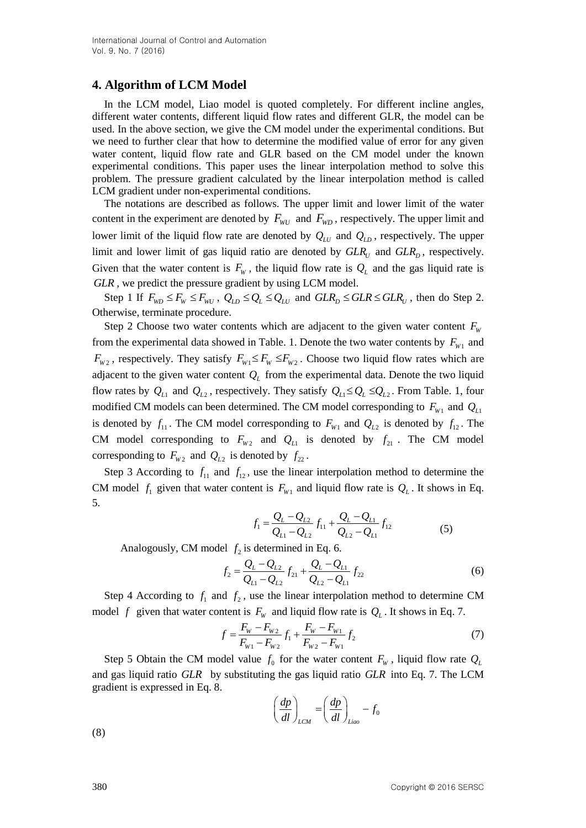# **4. Algorithm of LCM Model**

In the LCM model, Liao model is quoted completely. For different incline angles, different water contents, different liquid flow rates and different GLR, the model can be used. In the above section, we give the CM model under the experimental conditions. But we need to further clear that how to determine the modified value of error for any given water content, liquid flow rate and GLR based on the CM model under the known experimental conditions. This paper uses the linear interpolation method to solve this problem. The pressure gradient calculated by the linear interpolation method is called LCM gradient under non-experimental conditions.

The notations are described as follows. The upper limit and lower limit of the water content in the experiment are denoted by  $F_{WD}$  and  $F_{WD}$ , respectively. The upper limit and lower limit of the liquid flow rate are denoted by  $Q_{LU}$  and  $Q_{LD}$ , respectively. The upper limit and lower limit of gas liquid ratio are denoted by  $GLR_U$  and  $GLR_D$ , respectively. Given that the water content is  $F_w$ , the liquid flow rate is  $Q_L$  and the gas liquid rate is *GLR* , we predict the pressure gradient by using LCM model.

Step 1 If  $F_{WD} \le F_W \le F_{WD}$ ,  $Q_{LD} \le Q_L \le Q_{LU}$  and  $GLR_D \le GLR \le GLR_U$ , then do Step 2. Otherwise, terminate procedure.

Step 2 Choose two water contents which are adjacent to the given water content  $F_w$ from the experimental data showed in Table. 1. Denote the two water contents by  $F_{w_1}$  and  $F_{W_2}$ , respectively. They satisfy  $F_{W_1} \leq F_W \leq F_{W_2}$ . Choose two liquid flow rates which are adjacent to the given water content  $Q_L$  from the experimental data. Denote the two liquid flow rates by  $Q_{L1}$  and  $Q_{L2}$ , respectively. They satisfy  $Q_{L1} \leq Q_L \leq Q_{L2}$ . From Table. 1, four modified CM models can been determined. The CM model corresponding to  $F_{W1}$  and  $Q_{L1}$ is denoted by  $f_{11}$ . The CM model corresponding to  $F_{W1}$  and  $Q_{L2}$  is denoted by  $f_{12}$ . The CM model corresponding to  $F_{W2}$  and  $Q_{L1}$  is denoted by  $f_{21}$ . The CM model corresponding to  $F_{W_2}$  and  $Q_{L2}$  is denoted by  $f_{22}$ .

Step 3 According to  $f_{11}$  and  $f_{12}$ , use the linear interpolation method to determine the CM model  $f_1$  given that water content is  $F_{w_1}$  and liquid flow rate is  $Q_L$ . It shows in Eq. 5.

$$
f_1 = \frac{Q_L - Q_{L2}}{Q_{L1} - Q_{L2}} f_{11} + \frac{Q_L - Q_{L1}}{Q_{L2} - Q_{L1}} f_{12}
$$
(5)

Analogously, CM model 
$$
f_2
$$
 is determined in Eq. 6.  
\n
$$
f_2 = \frac{Q_L - Q_{L2}}{Q_{L1} - Q_{L2}} f_{21} + \frac{Q_L - Q_{L1}}{Q_{L2} - Q_{L1}} f_{22}
$$
\n(6)

Step 4 According to  $f_1$  and  $f_2$ , use the linear interpolation method to determine CM

model f given that water content is 
$$
F_w
$$
 and liquid flow rate is  $Q_L$ . It shows in Eq. 7.  
\n
$$
f = \frac{F_w - F_{w_2}}{F_{w_1} - F_{w_2}} f_1 + \frac{F_w - F_{w_1}}{F_{w_2} - F_{w_1}} f_2
$$
\n(7)

Step 5 Obtain the CM model value  $f_0$  for the water content  $F_w$ , liquid flow rate  $Q_L$ and gas liquid ratio *GLR* by substituting the gas liquid ratio *GLR* into Eq. 7. The LCM gradient is expressed in Eq. 8.

$$
\left(\frac{dp}{dl}\right)_{LCM} = \left(\frac{dp}{dl}\right)_{Liao} - f_0
$$

(8)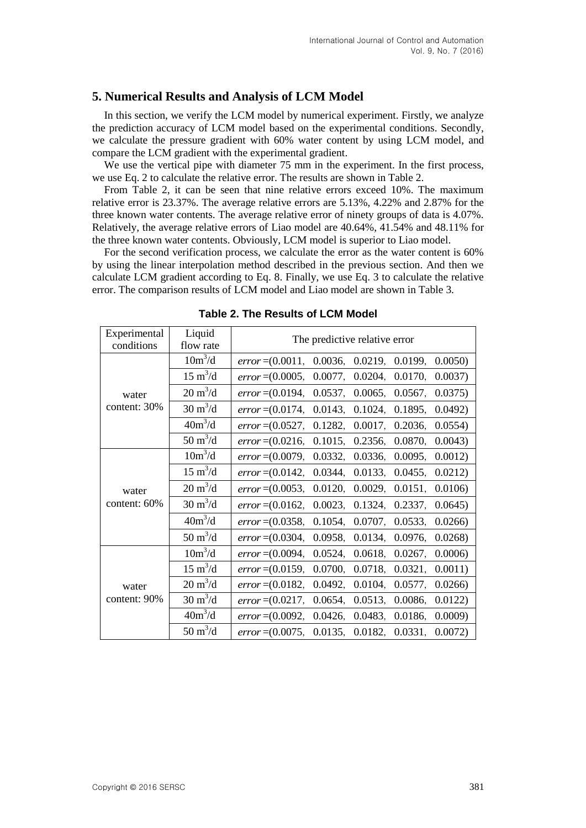# **5. Numerical Results and Analysis of LCM Model**

In this section, we verify the LCM model by numerical experiment. Firstly, we analyze the prediction accuracy of LCM model based on the experimental conditions. Secondly, we calculate the pressure gradient with 60% water content by using LCM model, and compare the LCM gradient with the experimental gradient.

We use the vertical pipe with diameter 75 mm in the experiment. In the first process, we use Eq. 2 to calculate the relative error. The results are shown in Table 2.

From Table 2, it can be seen that nine relative errors exceed 10%. The maximum relative error is 23.37%. The average relative errors are 5.13%, 4.22% and 2.87% for the three known water contents. The average relative error of ninety groups of data is 4.07%. Relatively, the average relative errors of Liao model are 40.64%, 41.54% and 48.11% for the three known water contents. Obviously, LCM model is superior to Liao model.

For the second verification process, we calculate the error as the water content is 60% by using the linear interpolation method described in the previous section. And then we calculate LCM gradient according to Eq. 8. Finally, we use Eq. 3 to calculate the relative error. The comparison results of LCM model and Liao model are shown in Table 3.

| Experimental<br>conditions | Liquid<br>flow rate             | The predictive relative error                                        |  |  |  |  |
|----------------------------|---------------------------------|----------------------------------------------------------------------|--|--|--|--|
| water<br>content: 30%      | $10m^3/d$                       | 0.0036, 0.0219, 0.0199,<br>$error = (0.0011,$<br>0.0050              |  |  |  |  |
|                            | $15 \text{ m}^3/\text{d}$       | 0.0077, 0.0204, 0.0170,<br>$error = (0.0005,$<br>$0.0037$ )          |  |  |  |  |
|                            | $20 \text{ m}^3/\text{d}$       | 0.0537, 0.0065, 0.0567,<br>0.0375)<br>$error = (0.0194,$             |  |  |  |  |
|                            | $30 \text{ m}^3/\text{d}$       | 0.0143, 0.1024, 0.1895,<br>0.0492<br>$error = (0.0174,$              |  |  |  |  |
|                            | $40m^3/d$                       | 0.1282, 0.0017, 0.2036,<br>0.0554<br>$error = (0.0527,$              |  |  |  |  |
|                            | $50 \text{ m}^3/\text{d}$       | 0.1015,<br>0.2356,<br>0.0043<br>$error = (0.0216,$<br>0.0870,        |  |  |  |  |
| water<br>content: 60%      | $10m^3/d$                       | 0.0332,<br>0.0095,<br>0.0012<br>$error = (0.0079,$<br>0.0336,        |  |  |  |  |
|                            | $15 \text{ m}^3/\text{d}$       | 0.0344,<br>0.0133, 0.0455,<br>0.0212)<br>$error = (0.0142,$          |  |  |  |  |
|                            | $20 \text{ m}^3/\text{d}$       | 0.0120,<br>0.0029,<br>0.0151,<br>0.0106<br>$error = (0.0053,$        |  |  |  |  |
|                            | $30 \text{ m}^3/\text{d}$       | 0.0023,<br>$error = (0.0162,$<br>0.1324, 0.2337,<br>0.0645           |  |  |  |  |
|                            | $40m^3/d$                       | 0.1054,<br>0.0707, 0.0533,<br>0.0266<br>$error = (0.0358,$           |  |  |  |  |
|                            | $50 \; \mathrm{m}^3/\mathrm{d}$ | 0.0958,<br>0.0134,<br>0.0268<br><i>error</i> = $(0.0304,$<br>0.0976, |  |  |  |  |
| water<br>content: 90%      | $10m^3/d$                       | 0.0524,<br>0.0006<br>$error = (0.0094,$<br>0.0618,<br>0.0267,        |  |  |  |  |
|                            | $15 \text{ m}^3/\text{d}$       | $error = (0.0159,$<br>0.0700,<br>0.0718,<br>0.0321,<br>0.0011)       |  |  |  |  |
|                            | $20 \text{ m}^3/\text{d}$       | $error = (0.0182,$<br>0.0492,<br>0.0104,<br>0.0577,<br>0.0266        |  |  |  |  |
|                            | $30 \text{ m}^3/\text{d}$       | $error = (0.0217,$<br>0.0654,<br>0.0513,<br>0.0086,<br>0.0122        |  |  |  |  |
|                            | $40m^3/d$                       | 0.0426,<br>0.0483,<br>0.0009<br>$error = (0.0092,$<br>0.0186,        |  |  |  |  |
|                            | $50 \text{ m}^3/\text{d}$       | $error = (0.0075, 0.0135, 0.0182, 0.0331,$<br>0.0072                 |  |  |  |  |

**Table 2. The Results of LCM Model**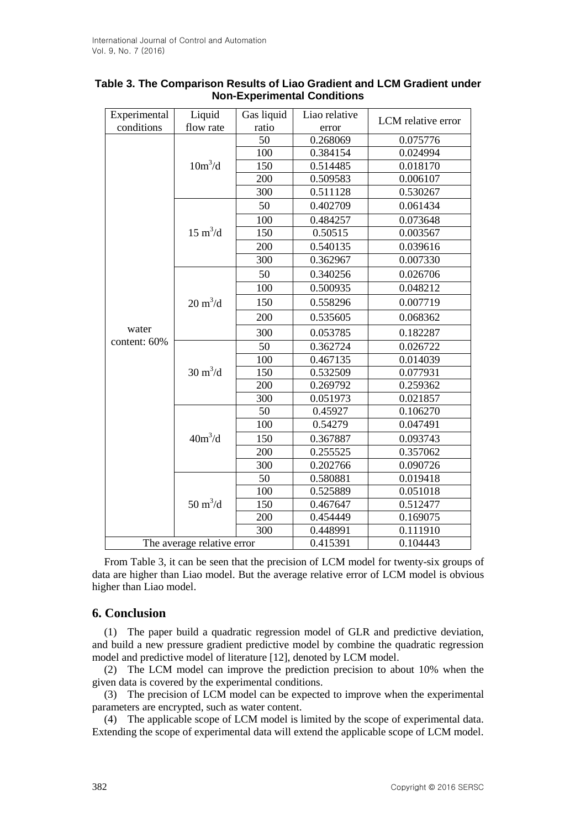| Experimental               | Liquid                    | Gas liquid | Liao relative | LCM relative error |
|----------------------------|---------------------------|------------|---------------|--------------------|
| conditions                 | flow rate                 | ratio      | error         |                    |
|                            | $10m^3/d$                 | 50         | 0.268069      | 0.075776           |
|                            |                           | 100        | 0.384154      | 0.024994           |
|                            |                           | 150        | 0.514485      | 0.018170           |
|                            |                           | 200        | 0.509583      | 0.006107           |
|                            |                           | 300        | 0.511128      | 0.530267           |
|                            | $15 \text{ m}^3/\text{d}$ | 50         | 0.402709      | 0.061434           |
|                            |                           | 100        | 0.484257      | 0.073648           |
|                            |                           | 150        | 0.50515       | 0.003567           |
|                            |                           | 200        | 0.540135      | 0.039616           |
|                            |                           | 300        | 0.362967      | 0.007330           |
|                            | $20 \text{ m}^3/\text{d}$ | 50         | 0.340256      | 0.026706           |
|                            |                           | 100        | 0.500935      | 0.048212           |
|                            |                           | 150        | 0.558296      | 0.007719           |
|                            |                           | 200        | 0.535605      | 0.068362           |
| water                      |                           | 300        | 0.053785      | 0.182287           |
| content: 60%               | $30 \text{ m}^3/\text{d}$ | 50         | 0.362724      | 0.026722           |
|                            |                           | 100        | 0.467135      | 0.014039           |
|                            |                           | 150        | 0.532509      | 0.077931           |
|                            |                           | 200        | 0.269792      | 0.259362           |
|                            |                           | 300        | 0.051973      | 0.021857           |
|                            | $40m^3/d$                 | 50         | 0.45927       | 0.106270           |
|                            |                           | 100        | 0.54279       | 0.047491           |
|                            |                           | 150        | 0.367887      | 0.093743           |
|                            |                           | 200        | 0.255525      | 0.357062           |
|                            |                           | 300        | 0.202766      | 0.090726           |
|                            | $50 \text{ m}^3/\text{d}$ | 50         | 0.580881      | 0.019418           |
|                            |                           | 100        | 0.525889      | 0.051018           |
|                            |                           | 150        | 0.467647      | 0.512477           |
|                            |                           | 200        | 0.454449      | 0.169075           |
|                            |                           | 300        | 0.448991      | 0.111910           |
| The average relative error |                           |            | 0.415391      | 0.104443           |

### **Table 3. The Comparison Results of Liao Gradient and LCM Gradient under Non-Experimental Conditions**

From Table 3, it can be seen that the precision of LCM model for twenty-six groups of data are higher than Liao model. But the average relative error of LCM model is obvious higher than Liao model.

### **6. Conclusion**

(1) The paper build a quadratic regression model of GLR and predictive deviation, and build a new pressure gradient predictive model by combine the quadratic regression model and predictive model of literature [12], denoted by LCM model.

(2) The LCM model can improve the prediction precision to about 10% when the given data is covered by the experimental conditions.

(3) The precision of LCM model can be expected to improve when the experimental parameters are encrypted, such as water content.

(4) The applicable scope of LCM model is limited by the scope of experimental data. Extending the scope of experimental data will extend the applicable scope of LCM model.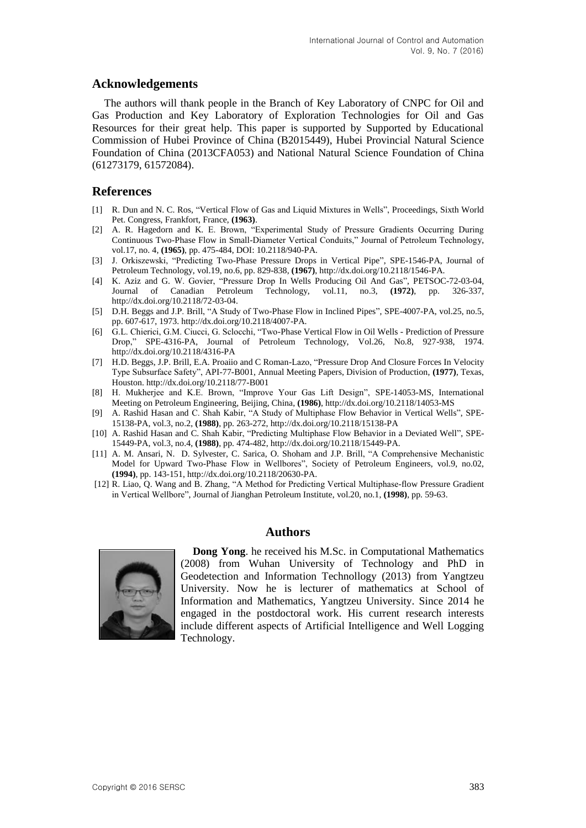#### **Acknowledgements**

The authors will thank people in the Branch of Key Laboratory of CNPC for Oil and Gas Production and Key Laboratory of Exploration Technologies for Oil and Gas Resources for their great help. This paper is supported by Supported by Educational Commission of Hubei Province of China (B2015449), Hubei Provincial Natural Science Foundation of China (2013CFA053) and National Natural Science Foundation of China (61273179, 61572084).

### **References**

- [1] R. Dun and N. C. Ros, "Vertical Flow of Gas and Liquid Mixtures in Wells", Proceedings, Sixth World Pet. Congress, Frankfort, France, **(1963)**.
- [2] A. R. Hagedorn and K. E. Brown, "Experimental Study of Pressure Gradients Occurring During Continuous Two-Phase Flow in Small-Diameter Vertical Conduits," Journal of Petroleum Technology, vol.17, no. 4, **(1965)**, pp. 475-484, DOI: 10.2118/940-PA.
- [3] J. Orkiszewski, "Predicting Two-Phase Pressure Drops in Vertical Pipe", SPE-1546-PA, Journal of Petroleum Technology, vol.19, no.6, pp. 829-838, **(1967)**, http://dx.doi.org/10.2118/1546-PA.
- [4] K. Aziz and G. W. Govier, "Pressure Drop In Wells Producing Oil And Gas", PETSOC-72-03-04, Journal of Canadian Petroleum Technology, vol.11, no.3, **(1972)**, pp. 326-337, [http://dx.doi.org/10.2118/72-03-04.](http://dx.doi.org/10.2118/72-03-04)
- [5] D.H. Beggs and J.P. Brill, "A Study of Two-Phase Flow in Inclined Pipes", SPE-4007-PA, vol.25, no.5, pp. 607-617, 1973. http://dx.doi.org/10.2118/4007-PA.
- [6] G.L. Chierici, G.M. Ciucci, G. Sclocchi, "Two-Phase Vertical Flow in Oil Wells Prediction of Pressure Drop," SPE-4316-PA, Journal of Petroleum Technology, Vol.26, No.8, 927-938, 1974. http://dx.doi.org/10.2118/4316-PA
- [7] H.D. Beggs, J.P. Brill, E.A. Proaiio and C Roman-Lazo, "Pressure Drop And Closure Forces In Velocity Type Subsurface Safety", API-77-B001, Annual Meeting Papers, Division of Production, **(1977)**, Texas, Houston. http://dx.doi.org/10.2118/77-B001
- [8] H. Mukherjee and K.E. Brown, "Improve Your Gas Lift Design", SPE-14053-MS, International Meeting on Petroleum Engineering, Beijing, China, **(1986)**, http://dx.doi.org/10.2118/14053-MS
- [9] A. Rashid Hasan and C. Shah Kabir, "A Study of Multiphase Flow Behavior in Vertical Wells", SPE-15138-PA, vol.3, no.2, **(1988)**, pp. 263-272, http://dx.doi.org/10.2118/15138-PA
- [10] A. Rashid Hasan and C. Shah Kabir, "Predicting Multiphase Flow Behavior in a Deviated Well", SPE-15449-PA, vol.3, no.4, **(1988)**, pp. 474-482, http://dx.doi.org/10.2118/15449-PA.
- [11] A. M. Ansari, N. D. Sylvester, C. Sarica, O. Shoham and J.P. Brill, "A Comprehensive Mechanistic Model for Upward Two-Phase Flow in Wellbores", Society of Petroleum Engineers, vol.9, no.02, **(1994)**, pp. 143-151, http://dx.doi.org/10.2118/20630-PA.
- [12] R. Liao, Q. Wang and B. Zhang, "A Method for Predicting Vertical Multiphase-flow Pressure Gradient in Vertical Wellbore", Journal of Jianghan Petroleum Institute, vol.20, no.1, **(1998)**, pp. 59-63.





**Dong Yong**. he received his M.Sc. in Computational Mathematics (2008) from Wuhan University of Technology and PhD in Geodetection and Information Technollogy (2013) from Yangtzeu University. Now he is lecturer of mathematics at School of Information and Mathematics, Yangtzeu University. Since 2014 he engaged in the postdoctoral work. His current research interests include different aspects of Artificial Intelligence and Well Logging Technology.